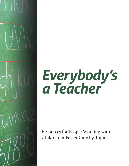

# *Everybody's a Teacher*

Resources for People Working with Children in Foster Care by Topic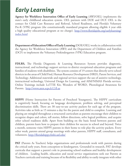## *Early Learning*

**Agency for Workforce Innovation Office of Early Learning** (AWI/OEL) implements the state's early childhood education system. OEL partners with DOE and DCF. OEL is the contact for Child Care Resource and Referral, School Readiness, and Florida's Voluntary Pre-K (VPK) program (the constitutionally mandated program allowing eligible 4 year olds a high quality educational program at no charge). [http://www.floridajobs.org/earlylearning/](http://www.floridajobs.org/earlylearning/index.html) [index.html](http://www.floridajobs.org/earlylearning/index.html)

**Department of Education/Office of Early Learning** (DOE/OEL) works in collaboration with the Agency for Workforce Innovation (AWI) and the Department of Children and Families (DCF) to implement the Voluntary Prekindergarten (VPK) Education program.

**FDLRS,** The Florida Diagnostic & Learning Resources System provides diagnostic, instructional, and technology support services to district exceptional education programs and families of students with disabilities. The system consists of 19 centers that directly serve school districts in the areas of Child Find, Human Resource Development (HRD), Parent Services, and Technology. Additional statewide and regional services support the use of assistive technology, instructional technology, Universal Design for Learning, and AIM/NIMAS Florida services. Online Trainings include LoTTIE Kit, Wonders of WORD, Phonological Awareness for Parents. <http://www.aten.scps.k12.fl.us>

**HIPPY** (Home Instruction for Parents of Preschool Youngsters), The HIPPY curriculum is cognitively based, focusing on language development, problem solving, and perceptual discrimination skills. There are 30 easy-to-use activity packets for each age of the program. Activities take as little as 15 minutes a day for the parent and child to complete. Learning and playing are mingled throughout a structured curriculum as parents encourage their children to recognize shapes and colors, tell stories, follow directions, solve logical problems, and acquire other school readiness skills. Apart from building on the basic bond between parents and children, parents learn how to prepare their children for success in school and beyond. Twice a month, someone visits HIPPY parents in their home to role play the activity packets. Every other week, parents attend group meetings with other parents, HIPPY staff, consultants, and volunteers.<http://floridahippy.fmhi.usf.edu/>

**PAT** (Parents As Teachers) helps organizations and professionals work with parents during the critical early years, from conception to kindergarten. Grounded in research, PAT develops curricula that support a parent's role in promoting school readiness and healthy development of children. Leading health, education and social service organizations seek out Parents as Teachers curricula and training because of its flexibility and ability to easily integrate with other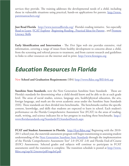services they provide. The training addresses the developmental needs of a child, including those in vulnerable situations using practical, hands-on applications for parents. [http://www.](http://www.parentsasteachers.org/) [parentsasteachers.org/](http://www.parentsasteachers.org/)

**Just Read Florida** <http://www.justreadflorida.org/> Florida's reading initiative. See especially [Read to Learn,](http://www.justreadflorida.org/docs/Read_to_Learn.pdf) [FCAT Explorer](http://www.fcatexplorer.com/) [,Beginning Reading , Practical Ideas for Parents](http://www.tea.state.tx.us/reading/products/praidepar.pdf) , and [Promote](http://www.justreadflorida.org/promote.asp) [Literacy Skills](http://www.justreadflorida.org/promote.asp)

**Early Identification and Intervention** - The *First Signs* web site provides extensive, vital information, covering a range of issues from healthy development to concerns about a child, from the screening and referral process to treatment, and from current research and guidelines to links to other resources on the internet and in print.<http://www.firstsigns.org>

#### *Education Resources In Florida*

New **School and Graduation Requirements** (SB4) <http://www.fldoe.org/BII/sb4i.asp>

**Sunshine State Standards**, now the Next Generation Sunshine State Standards These are Florida's standards for determining what a child should know and be able to do at each grade level. The areas of social studies, science, language arts, health/physical education, the arts, foreign language, and math are the seven academic areas under the Sunshine State Standards (SSS). These standards are then divided into benchmarks. The benchmarks outline the specific content, knowledge, and skills that students are expected to learn in school. Each student's performance on the Florida Comprehensive Assessment Test (FCAT) in the areas of reading, math, writing, and science indicates his or her progress in reaching these benchmarks. [http://](http://www.floridastandards.org/Standards/FLStandardSearch.aspx) [www.floridastandards.org/Standards/FLStandardSearch.aspx](http://www.floridastandards.org/Standards/FLStandardSearch.aspx)

**FCAT and Student Assessment in Florida.** <http://fcat.fldoe.org/>Beginning with the 2010-2011 school year, the statewide assessment program will begin transitioning to assessing student understanding of the [Next Generation Sunshine State Standards](http://www.floridastandards.org/index.aspx) through the implementation of the Florida Comprehensive Assessment Test® 2.0 (FCAT 2.0) and Florida End-of-Course (EOC) Assessments. Selected grades and subjects will continue to participate in FCAT assessments until the transition is complete. The transition schedule is posted at [http://www.](http://www.fldoe.org/asp/k12memo/pdf/tngcbtf.pdf) [fldoe.org/asp/k12memo/pdf/tngcbtf.pdf](http://www.fldoe.org/asp/k12memo/pdf/tngcbtf.pdf).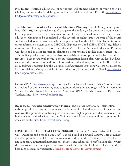**FACTS.org** Florida's educational opportunities and student advising at your fingertips! Choices, on line academic advising for middle and high school from FLDOE [https://access.](https://access.bridges.com/auth/login.do?sponsor=7) [bridges.com/auth/login.do?sponsor=7](https://access.bridges.com/auth/login.do?sponsor=7)

**The Educator's Toolkit on Career and Education Planning** The 2006 Legislature passed House Bill 7087 (A++) which included changes to the middle grades promotion requirements. One requirement states that students must enroll in a semester-long course in career and education planning to be completed in the seventh or eighth grade. As part of the course students will develop a career and education plan using Florida CHOICES Planner (or other career information system such as CHOICES Explorer, etc.) and ePEP at FACTS.org. Schools must use one of the approved tools. The Educator's Toolkit on Career and Education Planning was developed to assist teachers in planning a comprehensive middle school career course. This Toolkit provides easy access to classroom activities, lesson plans, and related web-based resources. Each module will include a module description, lesson plans with student handouts, recommended websites for additional information, and a glossary for the unit. The modules are as follows: Understanding the Workplace,Self Awareness, Exploring Careers, Goal Setting/ DecisionMaking, Workplace Skills, Career/Education, Planning, and Job Search [http://www.](http://www.fldoe.org/workforce/ced/) [fldoe.org/workforce/ced/](http://www.fldoe.org/workforce/ced/)

**National PTA** <http://www.pta.org/> This is site for the National Parent Teacher Association and is chock full of positive parenting tips, education information and suggested family activities. See also Florida PTA and Parent Teacher Association (PTA), Florida Congress of Parents and Teachers, Inc. <http://www.floridapta.org/>

**Response to Instruction/Intervention Florida** The Florida Response to Intervention (RtI) website provides a central, comprehensive location for Florida-specific information and resources that promote schoolwide practices to ensure highest possible student achievement in both academic and behavioral pursuits. Training materials for parents and non profits are also available on this site. [http://www.florida-rti.org/](http://www.florida-rti.org)

**FOSTERING STUDENT SUCCESS: 2010-2011** Technical Assistance Manual for Foster Care Designees and School Based Staff - School Board of Broward County. This document describes procedures which create an awareness of these students' unique educational needs and supportive educational interventions. Teachers and school based staff working closely with the caseworker, the foster parent or guardian will increase the likelihood of these students becoming academically successful. Need cite from Center for Advancement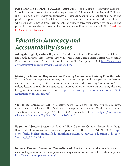**FOSTERING STUDENT SUCCESS: 2010-2011** Child Welfare Caseworker Manual - School Board of Broward County, the Department of Children and Families, and ChildNet, Inc. This document creates an awareness of these students' unique educational needs and provides supportive educational interventions. These procedures are intended for children who have been removed from their parent's or primary caregivers' custody by the court and placed in a licensed shelter, foster family, group home, or licensed residential facility. Need Cite for Center for Advancement

#### *Education Advocacy and Accountability Issues*

**Asking the Right Questions II**: Judicial Checklists to Meet the Education Needs of Children and Youth in Foster Care. Sophia Gatowski, Tracy Medina, and Megan Warren. Casey Family Programs and National Council of Juvenile and Family Court Judges, 2008. [http://www.casey.](http://www.casey.org/Resources/Publications/AskingQuestions.htm) [org/Resources/Publications/AskingQuestions.htm.](http://www.casey.org/Resources/Publications/AskingQuestions.htm)

**Meeting the Education Requirements of Fostering Connections: Learning From the Field.** This brief aims to help agency leaders, policymakers, judges, and their partners understand and respond effectively to the education requirements of the Fostering Connections Act. It reflects lessons learned from initiatives to improve education outcomes including the need for good interagency collaboration. http://www.financeproject.org/publications/FCWG [EducationLessonsLearned.pdf](http://www.financeproject.org/publications/FCWG_EducationLessonsLearned.pdf)

**Closing the Graduation Gap**: A Superintendent's Guide for Planning Multiple Pathways to Graduation. Chicago, Ill.: Multiple Pathways to Graduation Work Group, Youth Transition Funders Group, October 2008. Available at [www.ytfg.org/documents/](http://www.ytfg.org/documents/ClosingtheGraduationGapFinal13October2008.pdf) [ClosingtheGraduationGapFinal13October2008.pdf](http://www.ytfg.org/documents/ClosingtheGraduationGapFinal13October2008.pdf)

**Education Advocacy Systems**: A Study of How California Counties Ensure Foster Youth Receive the Educational Advocacy and Opportunities They Need (NCYL, 2010) [http://](http://centerforchildwelfare.fmhi.usf.edu/outofhome/addlresources/CA_Education_Advocacy_Systems_1_%5b1%5d.pdf) [centerforchildwelfare.fmhi.usf.edu/outofhome/addlresources/CA\\_Education\\_Advocacy\\_](http://centerforchildwelfare.fmhi.usf.edu/outofhome/addlresources/CA_Education_Advocacy_Systems_1_%5b1%5d.pdf) [Systems\\_1\\_%5b1%5d.pdf](http://centerforchildwelfare.fmhi.usf.edu/outofhome/addlresources/CA_Education_Advocacy_Systems_1_%5b1%5d.pdf)

**National Dropout Prevention Center/Network** Provides resources that enable a new or enhanced appreciation for the importance of a quality education and a high school diploma. <http://www.dropoutprevention.org/>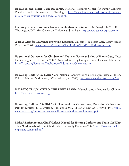**Education and Foster Care: Resources**. National Resource Center for Family-Centered Practice and Permanency Planning. [http://www.hunter.cuny.edu/socwork/nrcfcpp/](http://www.hunter.cuny.edu/socwork/nrcfcpp/info_services/education-and-foster-care.html) [info\\_services/education-and-foster-care.html](http://www.hunter.cuny.edu/socwork/nrcfcpp/info_services/education-and-foster-care.html).

**Learning curves: education advocacy for children in foster care**. McNaught, K.M. (2004). Washington, DC: ABA Center on Children and the Law. <http://www.abanet.org/abastore>

**A Road Map for Learning:** Improving Education Outcomes in Foster Care. Casey Family Programs, 2004. [www.casey.org/Resources/Publications/RoadMapForLearning.htm](http://www.casey.org/Resources/Publications/RoadMapForLearning.htm)

**Educational Outcomes for Children and Youth in Foster and Out-of-Home Care**, Casey Family Programs. (December, 2006). National Working Group on Foster Care and Education. <http://casey.org/Resources/Publications/EducationalOutcomes.htm>

**Educating Children in Foster Care**, National Conference of State Legislatures: Children's Policy Initiative. Washington, DC. Christian, S. (2003). <http://www.ncsl.org/programs/cyf>

**HELPING TRAUMATIZED CHILDREN LEARN**: Massachusetts Advocates for Children <http://www.massadvocates.org>

**Educating Children "At Risk" : A Handbook for Caseworkers, Probation Officers and Family**. Kintisch, B. & Stotland, J. (March 2004). Education Law Center (Phil., PA). [http://](http://www.elc-pa.org/pubs/downloads/english/man-children-in-placement.pdf) [www.elc-pa.org/pubs/downloads/english/man-children-in-placement.pdf](http://www.elc-pa.org/pubs/downloads/english/man-children-in-placement.pdf)

**Make A Difference in a Child's Life: A Manual for Helping Children and Youth Get What They Need in School**. TeamChild and Casey Family Programs (2000). [http://www.teamchild.](http://www.teamchild.org/manual/manual.pdf) [org/manual/manual.pdf](http://www.teamchild.org/manual/manual.pdf)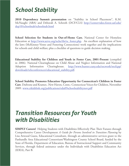## *School Stability*

**2010 Dependency Summit presentation** on "Stability in School Placement", K.M. McNaught (ABA) and Deborah A. Schroth (DCF/CLS) [http://centervideo.forest.usf.edu/](http://centervideo.forest.usf.edu/dep10/schoolstab/schoolstab.html) [dep10/schoolstab/schoolstab.html](http://centervideo.forest.usf.edu/dep10/schoolstab/schoolstab.html)

**School Selection for Students in Out-of-Home Care**, National Center for Homeless Education at [http://www.serve.org/nche/ibt/sc\\_foster.php](http://www.serve.org/nche/ibt/sc_foster.php). An excellent explanation of how the laws (McKinney-Vento and Fostering Connections) work together and the implications for schools and child welfare; plus a checklist of questions to guide decision making.

**Educational Stability for Children and Youth in Foster Care, 2001-Present** (compiled in 2006). National Clearinghouse on Child Abuse and Neglect Information and National Adoption Information Clearinghouse. [http://www.hunter.cuny.edu/socwork/nrcfcpp/](http://www.hunter.cuny.edu/socwork/nrcfcpp/downloads/teleconferences/educational_stability.pdf) [downloads/teleconferences/educational\\_stability.pdf.](http://www.hunter.cuny.edu/socwork/nrcfcpp/downloads/teleconferences/educational_stability.pdf)

**School Stability Promotes Education Opportunity for Connecticut's Children in Foster Care**. Dufresne and Kramer, .New Haven, Conn.: Connecticut Voices for Children, November 2009. [www.ctkidslink.org/publications/edu09schoolstabilitynov.pdf](http://www.ctkidslink.org/publications/edu09schoolstabilitynov.pdf)

#### *Transition Resources for Youth with Disabilities*

**SIMPLY Careers!** Helping Students with Disabilities Effectively Plan Their Futures through Comprehensive Career Development *A Guide for Persons Involved in Transition Planning* by Lisa Atwood Guess, Educational Consultant, through an administrative services grant to the Panhandle Area Educational Consortium/Washington County School Board, funded by the State of Florida, Department of Education, Bureau of Instructional Support and Community Services, through federal assistance under the Individuals with Disabilities Education Act (IDEA), Part B.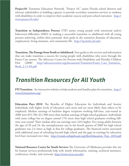Project10: Transition Education Network. "Project 10," assists Florida school districts and relevant stakeholders in building capacity to provide secondary transition services to students with disabilities in order to improve their academic success and post-school outcomes. [http://](http://www.project10.info/) [www.project10.info/](http://www.project10.info/)

**Transition to Independence Process** (TIP) assists young people with emotional and/or behavioral difficulties (EBD) in making a successful transition to adulthood with all young persons achieving, within their potential, their goals in the transition domains of education, employment, living situation, and community life. <http://tip.fmhi.usf.edu/>

**Transition, The Passage from Youth to Adulthood**, Your guide to the services and information that can make transition a success for young people with disabilities who went through the Foster Care system. The Advocacy Center for Persons with Disabilities and Florida's Children First (2008) http://advocacycenter.org/documents/Transition/Foster Care Transition [Book\\_2-11-09.pdf](http://advocacycenter.org/documents/Transition/Foster_Care_Transition_Book_2-11-09.pdf)

#### *Transition Resources for All Youth*

**FYI Transition**. An interactive website to help students and families plan for transition, [http://](http://www.fyitransition.org/) [www.fyitransition.org/](http://www.fyitransition.org/)

**Education Pays 2010**: The Benefits of Higher Education for Individuals and Society Individuals with higher levels of education earn more and are more likely than others to be employed. Median earnings of bachelor degree recipients working full-time, year-round in 2008 were \$55,700, \$21,900 more than median earnings of high school graduates. Individuals with some college but no degree earned 17% more than high school graduates working fulltime year-round. Their median after-tax earnings were 16% higher. For young adults between the ages of 20 and 24, the unemployment rate in the fourth quarter of 2009 for high school graduates was 2.6 times as high as that for college graduates. The financial return associated with additional years of schooling beyond high school and the gaps in earnings by education level have increased over time. [http://trends.collegeboard.org/files/Education\\_Pays\\_2010.pdf](http://trends.collegeboard.org/files/Education_Pays_2010.pdf)

**National Resource Center for Youth Services** The University of Oklahoma provides this site for human services professionals help with timely information, training, technical assistance, conferences, books, and curricula.<http://www.nrcys.ou.edu/>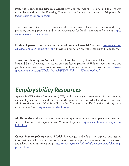**Fostering Connections Resource Center** provides information, training and tools related to implementation of the Fostering Connections to Success and Increasing Adoptions Act [\(www.fosteringconnections.org\)](http://www.fosteringconnections.org)

**The Transition Center** This University of Florida project focuses on transition through providing training, products, and technical assistance for family members and students [http://](http://www.thetransitioncenter.org/) [www.thetransitioncenter.org/](http://www.thetransitioncenter.org/)

**Florida Department of Education Office of Student Financial Assistance** [http://www.firn.](http://www.firn.edu/doe/bin00065/home0065.htm) [edu/doe/bin00065/home0065.htm](http://www.firn.edu/doe/bin00065/home0065.htm) Provides information on grants, scholarships and loans.

**Transition Planning for Youth in Foster Care**, by Sarah J. Geenen and Laurie E. Powers, Portland State University. A report on a study/comparison of IEPs for youth in care and youth not in care. Contains informative implications for improved practice. [http://www.](http://www.specialpopulations.org/Whole_Journal/JVSNE_Vol28-2_Winter2006.pdf) [specialpopulations.org/Whole\\_Journal/JVSNE\\_Vol28-2\\_Winter2006.pdf](http://www.specialpopulations.org/Whole_Journal/JVSNE_Vol28-2_Winter2006.pdf)

# *Employability Resources*

**Agency for Workforce Innovation** (AWI) is the state agency responsible for job training and employment services and functions as the grant recipient of federal workforce funds and administrative entity for Workforce Florida, Inc. Youth known to DCF receive a priority status in services by AWI.<http://www.floridajobs.org/>

**All About Work** Allows students the opportunity to seek answers to employment questions, such as "How can I find a job? Where? Who can help me?" [http://www.nhlink.net/employme/](http://www.nhlink.net/employme/index.htm) [index.htm](http://www.nhlink.net/employme/index.htm)

**Career Planning/Competency Model** Encourages individuals to explore and gather information which enables them to synthesize, gain competencies, make decisions, set goals, and take action in career planning. http://www.bgsu.edu/offices/sa/career/students/planning [process.html](http://www.bgsu.edu/offices/sa/career/students/planning_process.html)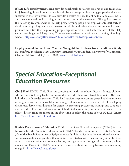**It's My Life: Employment Guide** provides benchmarks for career exploration and techniques for job seeking. It breaks out the benchmarks by age group and lets young people describe their successes in their own words. It also provides a wealth of links to online tools and assessments and many suggestions for taking advantage of community resources. This guide provides the following recommendations to help prepare young people for employment: Start early to develop employability; cultivate interests and skills, and relate them to future employment; promote activities that help young people explore careers; Build job-readiness skills; Help young people get and keep jobs; Promote work-related education and training after high school. <http://casey.org/Resources/Publications/ItsMyLife/Employment.htm>

**Employment of Former Foster Youth as Young Adults: Evidence from the Midwest Study** By Jennifer L. Hook and Mark Courtney, Partners for Our Children, University of Washington, Chapin Hall Issue Brief (March, 2010) [www.chapinhall.org](http://www.chapinhall.org)

## *Special Education-Exceptional Education Resources*

**Child Find** FDLRS Child Find, in coordination with the school districts, locates children who are potentially eligible for services under the Individuals with Disabilities Act (IDEA) and links them with needed services. Child Find services help to promote general public awareness of programs and services available for young children who have or are at risk of developing disabilities. Service coordination for diagnostic screening, placement, training, and support is also provided. For more information on Child Find services in your area, you can select the school district from the menu on the above link or select the name of your FDLRS Center. <http://www.fdlrs.com/childfind.html>

**Florida Department of Education** DOE is the State Education Agency ("SEA") for the Individuals with Disabilities Education Act ("IDEA") and an administrative entity for Section 504 of the Rehabilitation Act of 1973 and must fulfill its obligations for educationally relevant services to children and youth with disabilities that interfere with their learning or inhibit their access to the education environment before, during and after the ages of compulsory school attendance. Pursuant to IDEA, some students with disabilities are eligible to attend school up to age 22 <http://www.firn.edu/doe/>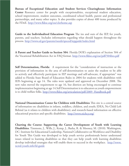**Bureau of Exceptional Education and Student Services Clearinghouse Information Center** Resource center for people with exceptionalities, exceptional student education, school improvement, student outcomes, coordinated school health, parent and professional partnerships, and many other topics. It also provides copies of about 400 items produced by the FDoE. <http://www.fldoe.org/ese/clerhome.asp>

**Guide to the Individualized Education Program** The ins and outs of the IEP, for youth, parents, and teachers. Includes information regarding what should happen throughout the process. <http://www.ed.gov/parents/needs/speced/iepguide/index.html>

**A Parent and Teacher Guide to Section 504**: Florida DOE's explanation of Section 504 of the Vocational Rehabilitation Act in FAQ format. <http://www.fldoe.org/ese/pdf/504bro.pdf>

Self Determination, Florida: A requirement for the "consideration of instruction or the provision of information in the area of self-determination to assist the student to be able to actively and effectively participate in IEP meetings and self-advocate, if appropriate" was added to Florida State Board of Education Rules in 2004 for students with disabilities with IEPs beginning at age 14. The rules were updated and approved on December 2008. The new rules moved the requirement to age 16, but districts are being encouraged to continue implementation beginning at age 14.Self Determination is to educators as youth empowerment is to child welfare folks. [http://www.fldoe.org/articulation/pdf/2009\\_Handbook.pdf](http://www.fldoe.org/articulation/pdf/2009_Handbook.pdf)

**National Dissemination Center for Children with Disabilities** This site is a central source of information on: disabilities in infants, toddlers, children, and youth; IDEA, No Child Left Behind (as it relates to children with disabilities); and research-based information on effective educational practices and specific disabilities. <http://www.nichcy.org/>

**Charting the Course: Supporting the Career Development of Youth with Learning Disabilities**. Timmons, J., Wills, J., Kemp, J., Basha, R. & Mooney, M. (2010). Washington, DC: Institute for Educational Leadership, National Collaborative on Workforce and Disability for Youth This Guide was developed to help youth service professionals better understand issues related to learning disabilities so that they can help youth with learning disabilities develop individual strategies that will enable them to succeed in the workplace. [http://www.](http://www.ncwd-youth.info/ld-guide) [ncwd-youth.info/ld-guide](http://www.ncwd-youth.info/ld-guide)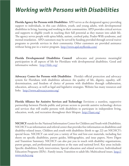#### *Working with Persons with Disabilities*

**Florida Agency for Persons with Disabilities** APD serves as the designated agency providing support to individuals, in this case children, youth, and young adults, with developmental disabilities in living, learning and working in their communities. APD provides critical services and supports to eligible youth in reaching their full potential as they mature into adult life. The agency serves people with spina bifida, autism, cerebral palsy, Prader-Willi syndrome, and mental retardation. APD customers may be served by funding provided through several waiver programs to provide services in their community. Other customers are provided assistance without being put in a waiver program.<http://www.apd.myflorida.com/>

**Florida Developmental Disabilities Council** advocates and promotes meaningful participation in all aspects of life for Floridians with developmental disabilities. Good and informative website. <http://fddc.org/>

**Advocacy Center for Persons with Disabilities** Florida's official protection and advocacy system for Floridians with disabilities advances the quality of life, dignity, equality, selfdetermination, and freedom of choice of persons with disabilities through collaboration, education, advocacy, as well as legal and legislative strategies. Website has many resources and links. <http://www.advocacycenter.org/>

**Florida Alliance for Assistive Services and Technology** Envisions a seamless, supportive partnership between Florida public and private sectors to provide assistive technology devices and services that will enable persons with disabilities to participate in independent living, education, work, and recreation throughout their lifespan.<http://faast.org/>

**NICHCY** stands for the National Information Center for Children and Youth with Disabilities. NICHCY is an information and referral center that provides free information on disabilities and disability-related issues. Children and youth with disabilities (birth to age 22) are NICHCY's special focus. NICHCY can send you a variety of free and low-cost materials, including fact sheets on specific disabilities, parent guides, bibliographies, and issue papers, News Digest and Transition Summary. NICHCY can also put you in touch with disability organizations, parent groups, and professional associations at the state and national level. Key areas include: Specific disabilities; Early intervention; Special education and related services; Individualized Education Programs (IEPs) ; Family issues; Transition to adult life; Multicultural issues. [http://](http://www.nichcy.org/) [www.nichcy.org](http://www.nichcy.org/)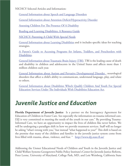NICHCY Selected Articles and Information:

[General Information about Speech and Language Disorders](http://www.kidsource.com/NICHCY/speech.html) 

[General Information about Attention-Deficit/Hyperactivity Disorder](http://www.kidsource.com/NICHCY/adhd.fact.dis.p.k12.4.html)

[Assessing Children For The Presence Of A Disability](http://www.kidsource.com/NICHCY/assessing.1.html)

[Reading and Learning Disabilities: A Resource Guide](http://www.kidsource.com/NICHCY/ld.guide.dis.k12.p.4.1.html)

[NICHCY: Parenting A Child With Special Needs](http://www.kidsource.com/NICHCY/parenting.disab.all.4.1.html)

[General Information about Learning Disabilities](http://www.kidsource.com/NICHCY/learning_disabilities.html) and it includes specific ideas for teaching strategies.

[A Parent's Guide to Accessing Programs for Infants, Toddlers, and Preschoolers with](http://www.kidsource.com/NICHCY/infantpub.html) [Disabilities](http://www.kidsource.com/NICHCY/infantpub.html).

[General Information about Traumatic Brain Injury \(TBI\).](http://www.kidsource.com/NICHCY/brain.html) TBI is the leading cause of death and disability in children and adolescents in the United States and affects more than 1 million children each year.

[General Information about Autism and Pervasive Developmental Disorder ,](http://www.kidsource.com/NICHCY/autism.html) neurological disorders that affect a child's ability to communicate, understand language, play, and relate to others.

[General Information about Disabilities Which Qualify Children And Youth For Special](http://www.kidsource.com/NICHCY/gen.info.disa.all.2.html) [Education Services Under The Individuals With Disabilities Education Act.](http://www.kidsource.com/NICHCY/gen.info.disa.all.2.html)

## *Juvenile Justice and Education*

**Florida Department of Juvenile Justice** Is a partner on the Interagency Agreement for Education of Children in Foster Care. See especially the information on trauma informed care. DJJ is very committed to meeting the needs of the youth in our care." By providing Trauma-Informed Care, we have an opportunity to impact the lives of children like never before. We will be undergoing a paradigm shift in how we provide treatment services. Staff will no longer be asking "what's wrong with you," but instead "what happened to you?" This shift is based on the premise that many of the children and families in the juvenile justice system come from lives filled with trauma, abuse, violence, and fear. " <http://www.djj.state.fl.us/>

Addressing the Unmet Educational Needs of Children and Youth in the Juvenile Justice and Child Welfare Systems Georgetown Public Policy Institute's Center for Juvenile Justice Reform, Peter Leone, University of Maryland, College Park, MD, and Lois Weinberg, California State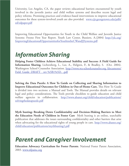University, Los Angeles, CA, the paper reviews educational barriers encountered by youth involved in the juvenile justice and child welfare systems and describes recent legal and policy reforms. Promising practices and evidence-based interventions to improve educational outcomes for these system-involved youth are also provided. [www.cjjr.georgetown.edu/pdfs/](http://www.cjjr.georgetown.edu/pdfs/ed/edpaper.pdf) [ed/edpaper.pdf](http://www.cjjr.georgetown.edu/pdfs/ed/edpaper.pdf) 

Improving Educational Opportunities for Youth in the Child Welfare and Juvenile Justice Systems: Fresno First Year Report. Youth Law Center, Bussiere, A. (2004) [http://ylc.org/](http://ylc.org/ImprovingEducationalOpportunitiesforYouthintheCWandJJSystems.pdf) [ImprovingEducationalOpportunitiesforYouthintheCWandJJSystems.pdf](http://ylc.org/ImprovingEducationalOpportunitiesforYouthintheCWandJJSystems.pdf)

## *Information Sharing*

**Helping Foster Children Achieve Educational Stability and Success: A Field Guide for Information Sharing.** Lichtenberg, L., Lee, A., Helgren, P., & Bradley, S. (Oct. 2004). Washington School Counselor Association. [http://www.wa-schoolcounselor.org /documents/](http://www.wa-schoolcounselor.org/documents/Field_Guide_DRAFT__rev%5B1%5D._.pdf) Field\_Guide\_DRAFT\_rev %5B1%5D. .pdf

**Solving the Data Puzzle: A How To Guide on Collecting and Sharing Information to Improve Educational Outcomes for Children in Out-of-Home Care.** This How To Guide is divided into two sections: a Manual and Tools. The Manual provides details on relevant legal and policy considerations. The Tools provide checklists to guide education and child welfare agencies in collaboration. [http://www.abanet.org/child/education/publications/](http://www.abanet.org/child/education/publications/solvingthedatapuzzle.pdf) [solvingthedatapuzzle.pdf](http://www.abanet.org/child/education/publications/solvingthedatapuzzle.pdf)

**Myth busting: Breaking Down Confidentiality and Decision-Making Barriers to Meet the Education Needs of Children in Foster Care** Myth busting is an online, searchable publication that addresses the issues surrounding confidentiality and other barriers that arise when advocating for the educational rights of young people in care. [http://www.abanet.org/](http://www.abanet.org/child/education/publications/mythbusting2.pdf) [child/education/publications/mythbusting2.pdf](http://www.abanet.org/child/education/publications/mythbusting2.pdf)

#### *Parent and Caregiver Involvement*

**Education Advocacy Curriculum for Foster Parents**. National Foster Parent Association, 2003. [www.nfpainc.org](http://www.nfpainc.org)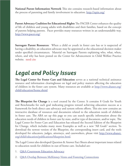**National Parent Information Network** This site contains research-based information about the process of parenting and family involvement in education.<http://npin.org/>

**Parent Advocacy Coalition for Educational Rights** The PACER Center enhances the quality of life of children and young adults with disabilities and their families, based on the concept of parents helping parents. Pacer provides many resources written in an understandable way. <http://www.pacer.org/>

**Surrogate Parent Resources**: When a child or youth in foster care has or is suspected of having a disability, an education advocate may be appointed as the educational decision maker under specified circumstances. Material on Surrogate Parents explaining who, what, when, where, and why has been posted on the Center for Advancement in Child Welfare Practice website. need cite

## *Legal and Policy Issues*

**The Legal Center for Foster Care and Education** serves as a national technical assistance resource and information clearinghouse on legal and policy matters affecting the education of children in the foster care system. Many resources are available at [http://www.abanet.org/](http://www.abanet.org/child/education/home.shtml) [child/education/home.shtml](http://www.abanet.org/child/education/home.shtml)

The Blueprint for Change is a tool created by the Center. It contains 8 Goals for Youth and Benchmarks for each goal indicating progress toward achieving education success as a framework for both direct case advocacy and system reform efforts. This site now contains an interactive database of resources and documents related to the education needs of children in foster care. The ABA set up this page so you can search specific information about the education needs of children in foster care by state, and/or type of document, and/or topic. The Legal Center for Foster Care and Education has released the Second Edition of the Blueprint for Change, which includes many more Examples as well as a new "All Goals" section. To download the newest version of the Blueprint, the corresponding insert card, and the tools developed for educators, judges, attorneys, and caseworkers, please visit [http://www.abanet.](http://www.abanet.org/child/education/publications/blueprint.html) [org/child/education/publications/blueprint.html.](http://www.abanet.org/child/education/publications/blueprint.html)

The Legal Center also developed Question & Answer Fact Sheets about important issues related to education needs for children in out-of-home care. Included are:

- 1. [Q&A Courtroom Education Advocacy](http://www.abanet.org/child/education/publications/qa_courtroom_advocacy_final.pdf)
- 2. [Q&A Overlap Between McKinney-Vento and Fostering Connections](http://www.abanet.org/child/education/publications/qa_fc_and_mv_overlap_final.pdf)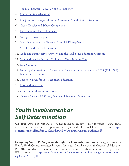- 3. [The Link Between Education and Permanency](http://www.abanet.org/child/education/publications/qa_link_to_permanency_final.pdf)
- 4. [Education for Older Youth](http://www.abanet.org/child/education/publications/qa_older_youth_final.pdf)
- 5. [Blueprint for Change: Education Success for Children in Foster Care](http://www.abanet.org/child/education/publications/qa%5fblueprint%5ffor%5fchange%5ffinal.pdf)
- 6. [Credit Transfer and School Completion](http://www.abanet.org/child/education/publications/qa%5fcredit%5ftransfer%5ffinal.pdf)
- 7. [Head Start and Early Head Start](http://www.abanet.org/child/education/publications/qa%5fheadstart%5ffinal.pdf)
- 8. [Surrogate Parent Programs](http://www.abanet.org/child/education/publications/qa%5fsurrogate%5fparent%5ffinal.pdf)
- 9. ["Awaiting Foster Care Placement" and McKinney-Vento](http://www.abanet.org/child/education/publications/qa%5fafcp%5ffinal.pdf)
- 10. [Mobility and Special Education](http://www.abanet.org/child/education/publications/qa%5fmobility%5ffinal.pdf)
- 11. [Child and Family Service Reviews and the Well Being Education Outcome](http://www.abanet.org/child/education/publications/qa%5fcfsr%5ffinal.pdf)
- 12. [No Child Left Behind and Children in Out-of-Home Care](http://www.abanet.org/child/education/publications/qa%5fnclb%5ffinal.pdf)
- 13. [Data Collection](http://www.abanet.org/child/education/publications/qa%5fdata%5ffinal.pdf)
- 14. [Fostering Connections to Success and Increasing Adoptions Act of 2008 \(H.R. 6893\)](http://www.abanet.org/child/education/publications/qa%5ffostering%5fconnections%5ffinal.pdf)  [Education Provisions](http://www.abanet.org/child/education/publications/qa%5ffostering%5fconnections%5ffinal.pdf)
- 15. [Tuition Waivers for Post-Secondary Education](http://www.abanet.org/child/education/publications/qa%5ftuition%5fwaiver%5ffinal.pdf)
- 16. [Information Sharing](http://www.abanet.org/child/education/publications/qa%5finformation%5fsharing%5ffinal.pdf)
- 17. [Courtroom Education Advocacy](http://www.abanet.org/child/education/publications/qa_courtroom_advocacy_final.pdf)
- 18. [Overlap Between McKinney-Vento and Fostering Connections](http://www.abanet.org/child/education/publications/qa_fc_and_mv_overlap_final.pdf)

#### *Youth Involvement or Self Determination*

**On Your Own But Not Alone**. A handbook to empower Florida youth leaving foster care. From the Bar-Youth Empowerment Project with Florida's Children First, Inc. [http://](http://centerforchildwelfare.fmhi.usf.edu/kb/indliv/OnYourOwnButNotAlone.pdf) [centerforchildwelfare.fmhi.usf.edu/kb/indliv/OnYourOwnButNotAlone.pdf](http://centerforchildwelfare.fmhi.usf.edu/kb/indliv/OnYourOwnButNotAlone.pdf)

**Navigating Your IEP: Are you on the right track towards your future?** This guide from the Florida Youth Council is written by youth for youth. It explains what the Individual Education Plan (IEP) is, why it is important, and how students with disabilities can take charge of their IEP process. [http://www.familycafe.net/images/stories/pdffiles/navigating%20your%20](http://www.familycafe.net/images/stories/pdffiles/navigating your iep 2-25-10.pdf) [iep%202-25-10.pdf](http://www.familycafe.net/images/stories/pdffiles/navigating your iep 2-25-10.pdf)